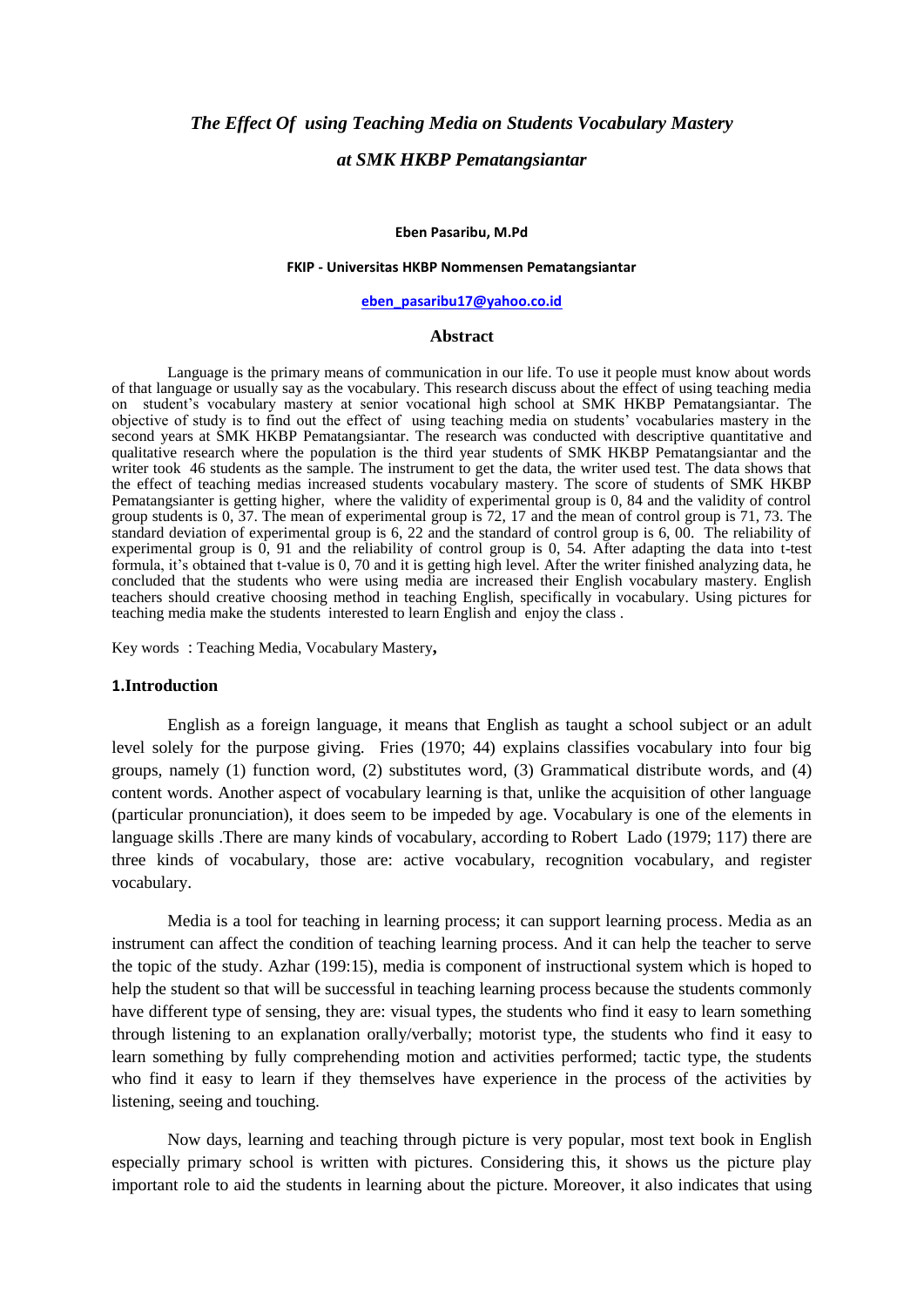# *The Effect Of using Teaching Media on Students Vocabulary Mastery at SMK HKBP Pematangsiantar*

#### **Eben Pasaribu, M.Pd**

#### **FKIP - Universitas HKBP Nommensen Pematangsiantar**

### **[eben\\_pasaribu17@yahoo.co.id](mailto:eben_pasaribu17@yahoo.co.id)**

#### **Abstract**

Language is the primary means of communication in our life. To use it people must know about words of that language or usually say as the vocabulary. This research discuss about the effect of using teaching media on student's vocabulary mastery at senior vocational high school at SMK HKBP Pematangsiantar. The objective of study is to find out the effect of using teaching media on students' vocabularies mastery in the second years at SMK HKBP Pematangsiantar. The research was conducted with descriptive quantitative and qualitative research where the population is the third year students of SMK HKBP Pematangsiantar and the writer took 46 students as the sample. The instrument to get the data, the writer used test. The data shows that the effect of teaching medias increased students vocabulary mastery. The score of students of SMK HKBP Pematangsianter is getting higher, where the validity of experimental group is 0, 84 and the validity of control group students is 0, 37. The mean of experimental group is 72, 17 and the mean of control group is 71, 73. The standard deviation of experimental group is 6, 22 and the standard of control group is 6, 00. The reliability of experimental group is 0, 91 and the reliability of control group is 0, 54. After adapting the data into t-test formula, it's obtained that t-value is 0, 70 and it is getting high level. After the writer finished analyzing data, he concluded that the students who were using media are increased their English vocabulary mastery. English teachers should creative choosing method in teaching English, specifically in vocabulary. Using pictures for teaching media make the students interested to learn English and enjoy the class .

Key words : Teaching Media, Vocabulary Mastery**,** 

#### **1.Introduction**

English as a foreign language, it means that English as taught a school subject or an adult level solely for the purpose giving. Fries (1970; 44) explains classifies vocabulary into four big groups, namely (1) function word, (2) substitutes word, (3) Grammatical distribute words, and (4) content words. Another aspect of vocabulary learning is that, unlike the acquisition of other language (particular pronunciation), it does seem to be impeded by age. Vocabulary is one of the elements in language skills .There are many kinds of vocabulary, according to Robert Lado (1979; 117) there are three kinds of vocabulary, those are: active vocabulary, recognition vocabulary, and register vocabulary.

Media is a tool for teaching in learning process; it can support learning process. Media as an instrument can affect the condition of teaching learning process. And it can help the teacher to serve the topic of the study. Azhar (199:15), media is component of instructional system which is hoped to help the student so that will be successful in teaching learning process because the students commonly have different type of sensing, they are: visual types, the students who find it easy to learn something through listening to an explanation orally/verbally; motorist type, the students who find it easy to learn something by fully comprehending motion and activities performed; tactic type, the students who find it easy to learn if they themselves have experience in the process of the activities by listening, seeing and touching.

Now days, learning and teaching through picture is very popular, most text book in English especially primary school is written with pictures. Considering this, it shows us the picture play important role to aid the students in learning about the picture. Moreover, it also indicates that using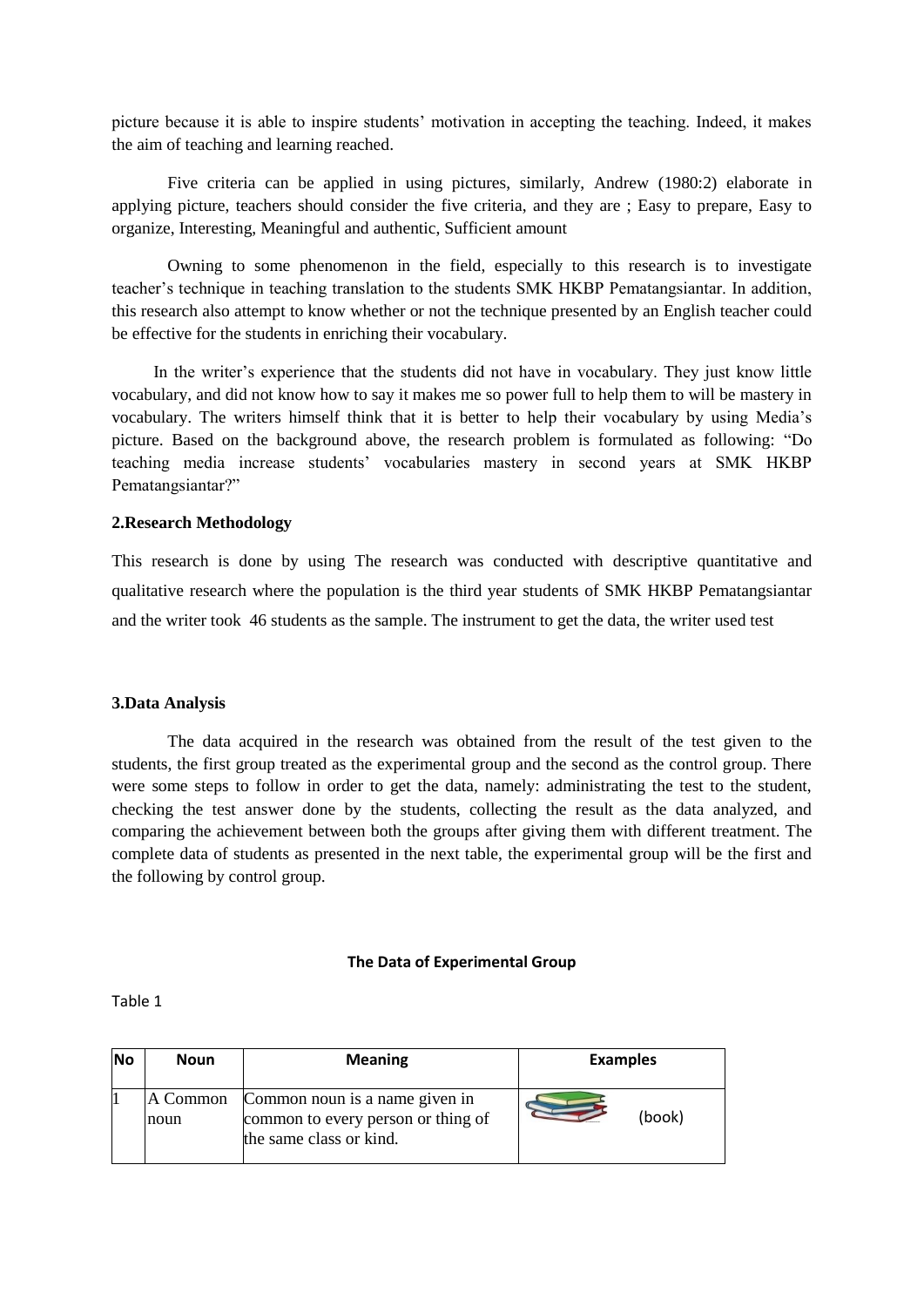picture because it is able to inspire students' motivation in accepting the teaching. Indeed, it makes the aim of teaching and learning reached.

Five criteria can be applied in using pictures, similarly, Andrew (1980:2) elaborate in applying picture, teachers should consider the five criteria, and they are ; Easy to prepare, Easy to organize, Interesting, Meaningful and authentic, Sufficient amount

Owning to some phenomenon in the field, especially to this research is to investigate teacher's technique in teaching translation to the students SMK HKBP Pematangsiantar. In addition, this research also attempt to know whether or not the technique presented by an English teacher could be effective for the students in enriching their vocabulary.

In the writer's experience that the students did not have in vocabulary. They just know little vocabulary, and did not know how to say it makes me so power full to help them to will be mastery in vocabulary. The writers himself think that it is better to help their vocabulary by using Media's picture. Based on the background above, the research problem is formulated as following: "Do teaching media increase students' vocabularies mastery in second years at SMK HKBP Pematangsiantar?"

### **2.Research Methodology**

This research is done by using The research was conducted with descriptive quantitative and qualitative research where the population is the third year students of SMK HKBP Pematangsiantar and the writer took 46 students as the sample. The instrument to get the data, the writer used test

### **3.Data Analysis**

The data acquired in the research was obtained from the result of the test given to the students, the first group treated as the experimental group and the second as the control group. There were some steps to follow in order to get the data, namely: administrating the test to the student, checking the test answer done by the students, collecting the result as the data analyzed, and comparing the achievement between both the groups after giving them with different treatment. The complete data of students as presented in the next table, the experimental group will be the first and the following by control group.

### **The Data of Experimental Group**

Table 1

| <b>No</b> | <b>Noun</b>      | <b>Meaning</b>                                                                                  | <b>Examples</b> |
|-----------|------------------|-------------------------------------------------------------------------------------------------|-----------------|
|           | A Common<br>noun | Common noun is a name given in<br>common to every person or thing of<br>the same class or kind. | (book)          |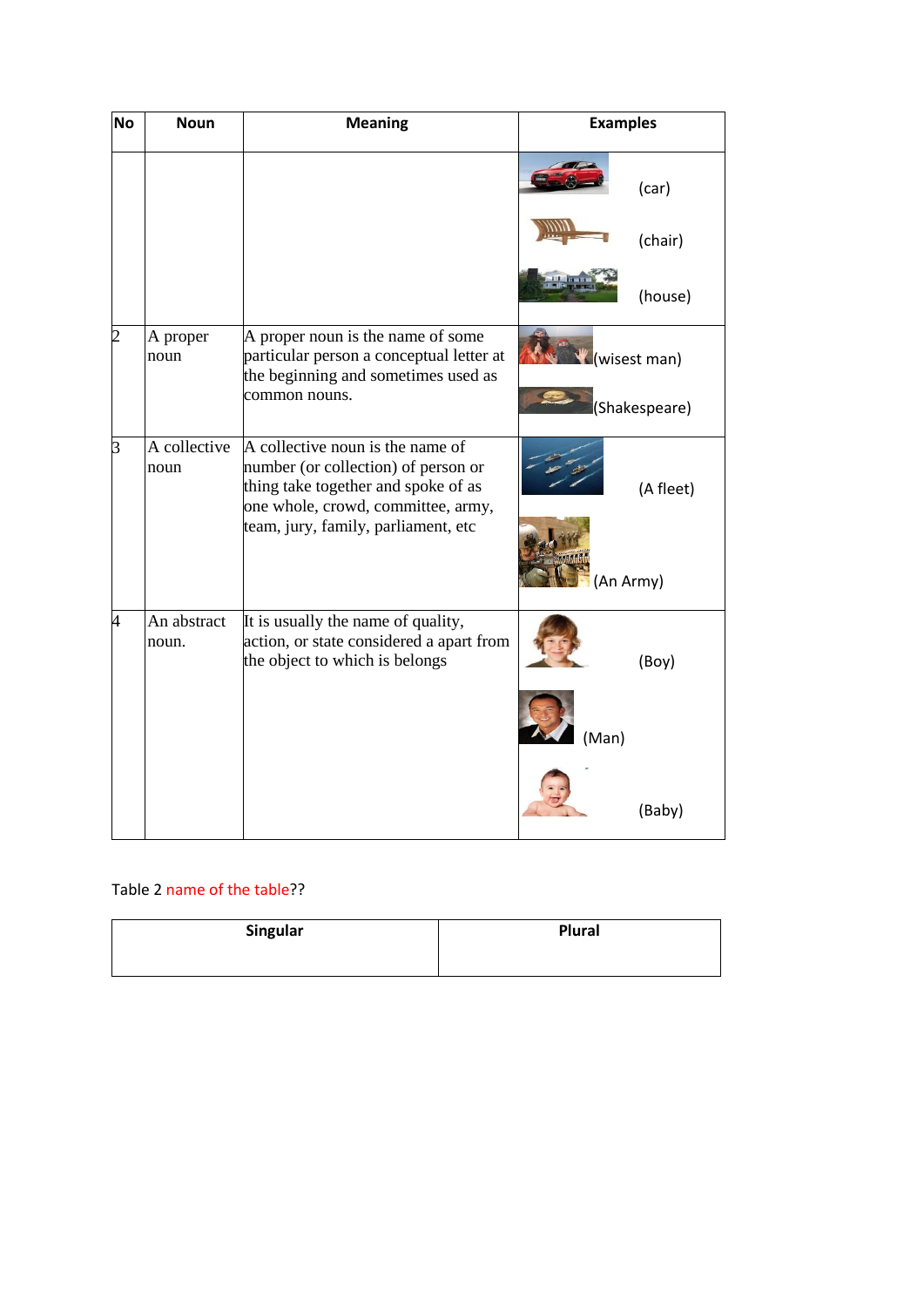| <b>No</b>      | <b>Noun</b>          | <b>Meaning</b>                                                                                                                                                                              | <b>Examples</b> |                               |
|----------------|----------------------|---------------------------------------------------------------------------------------------------------------------------------------------------------------------------------------------|-----------------|-------------------------------|
|                |                      |                                                                                                                                                                                             |                 | (car)                         |
|                |                      |                                                                                                                                                                                             |                 | (chair)                       |
|                |                      |                                                                                                                                                                                             |                 | (house)                       |
| $\overline{c}$ | A proper<br>noun     | A proper noun is the name of some<br>particular person a conceptual letter at<br>the beginning and sometimes used as<br>common nouns.                                                       |                 | (wisest man)<br>(Shakespeare) |
| 3              | A collective<br>noun | A collective noun is the name of<br>number (or collection) of person or<br>thing take together and spoke of as<br>one whole, crowd, committee, army,<br>team, jury, family, parliament, etc |                 | (A fleet)                     |
|                |                      |                                                                                                                                                                                             | (An Army)       |                               |
| 4              | An abstract<br>noun. | It is usually the name of quality,<br>action, or state considered a apart from<br>the object to which is belongs                                                                            |                 | (Boy)                         |
|                |                      |                                                                                                                                                                                             | (Man)           |                               |
|                |                      |                                                                                                                                                                                             |                 | (Baby)                        |

# Table 2 name of the table??

| Singular | Plural |
|----------|--------|
|          |        |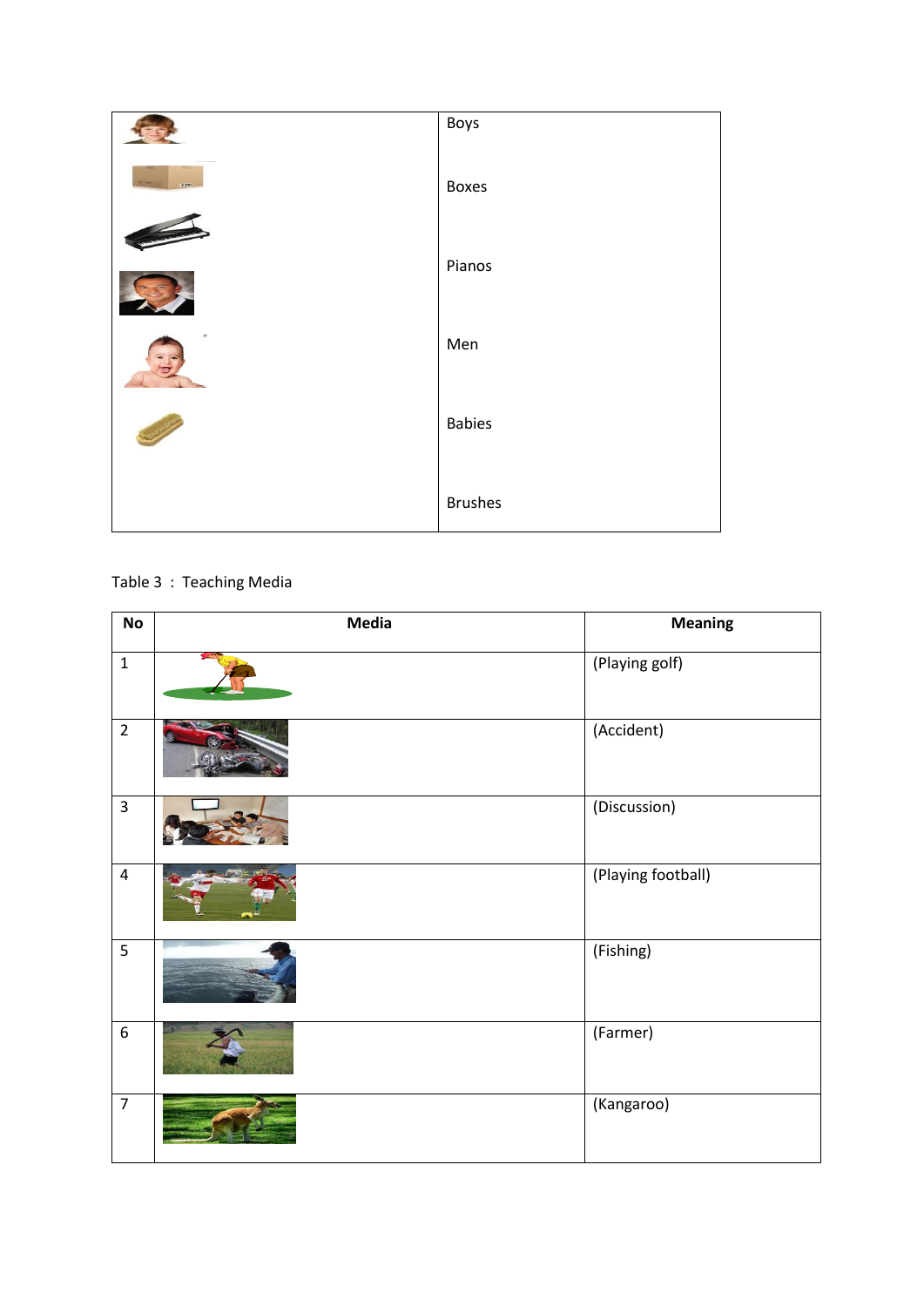

# Table 3 : Teaching Media

| $\mathsf{No}$           | <b>Media</b> | <b>Meaning</b>     |
|-------------------------|--------------|--------------------|
| $\mathbf 1$             |              | (Playing golf)     |
| $\overline{2}$          |              | (Accident)         |
| $\overline{\mathbf{3}}$ |              | (Discussion)       |
| $\pmb{4}$               |              | (Playing football) |
| 5                       |              | (Fishing)          |
| $\overline{6}$          |              | (Farmer)           |
| $\overline{7}$          |              | (Kangaroo)         |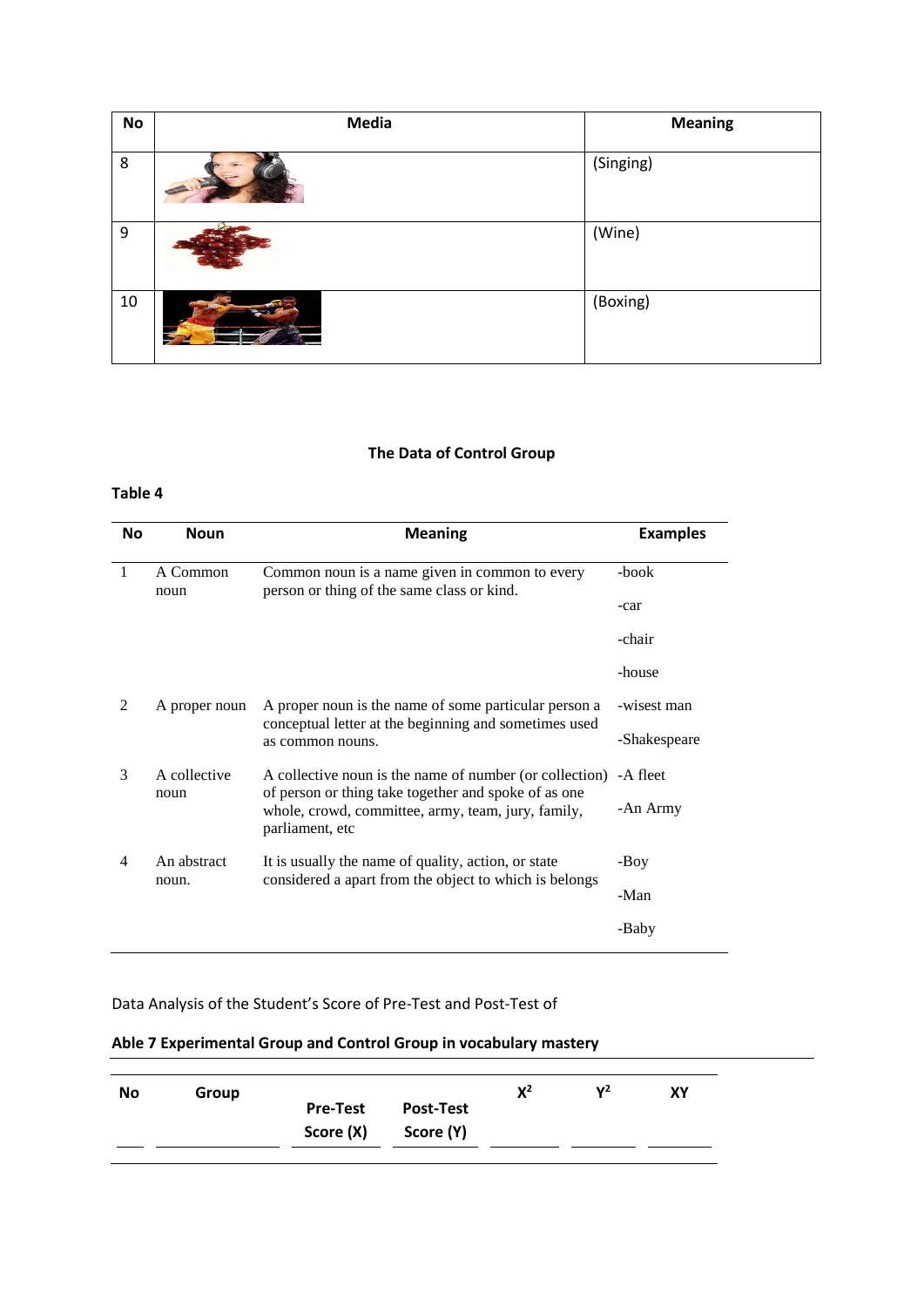| No | Media | <b>Meaning</b> |
|----|-------|----------------|
| 8  |       | (Singing)      |
| 9  |       | (Wine)         |
| 10 |       | (Boxing)       |

# **The Data of Control Group**

## **Table 4**

| <b>No</b>      | <b>Noun</b>                                                               | <b>Meaning</b>                                                                                                                | <b>Examples</b> |
|----------------|---------------------------------------------------------------------------|-------------------------------------------------------------------------------------------------------------------------------|-----------------|
| 1              | A Common<br>noun                                                          | Common noun is a name given in common to every<br>person or thing of the same class or kind.                                  | -book           |
|                |                                                                           |                                                                                                                               | -car            |
|                |                                                                           |                                                                                                                               | -chair          |
|                |                                                                           |                                                                                                                               | -house          |
| $\mathfrak{D}$ | A proper noun                                                             | A proper noun is the name of some particular person a                                                                         | -wisest man     |
|                | conceptual letter at the beginning and sometimes used<br>as common nouns. | -Shakespeare                                                                                                                  |                 |
| $\mathcal{F}$  | A collective                                                              | A collective noun is the name of number (or collection) - A fleet                                                             |                 |
|                | noun                                                                      | of person or thing take together and spoke of as one<br>whole, crowd, committee, army, team, jury, family,<br>parliament, etc | -An Army        |
| 4              | An abstract<br>It is usually the name of quality, action, or state        |                                                                                                                               | -Boy            |
|                | noun.                                                                     | considered a apart from the object to which is belongs                                                                        | -Man            |
|                |                                                                           |                                                                                                                               | -Baby           |

# Data Analysis of the Student's Score of Pre-Test and Post-Test of

### **Able 7 Experimental Group and Control Group in vocabulary mastery**

| No | Group |                 |                  | $X^2$ | $\mathsf{v}^2$ | XY |
|----|-------|-----------------|------------------|-------|----------------|----|
|    |       | <b>Pre-Test</b> | <b>Post-Test</b> |       |                |    |
|    |       | Score (X)       | Score (Y)        |       |                |    |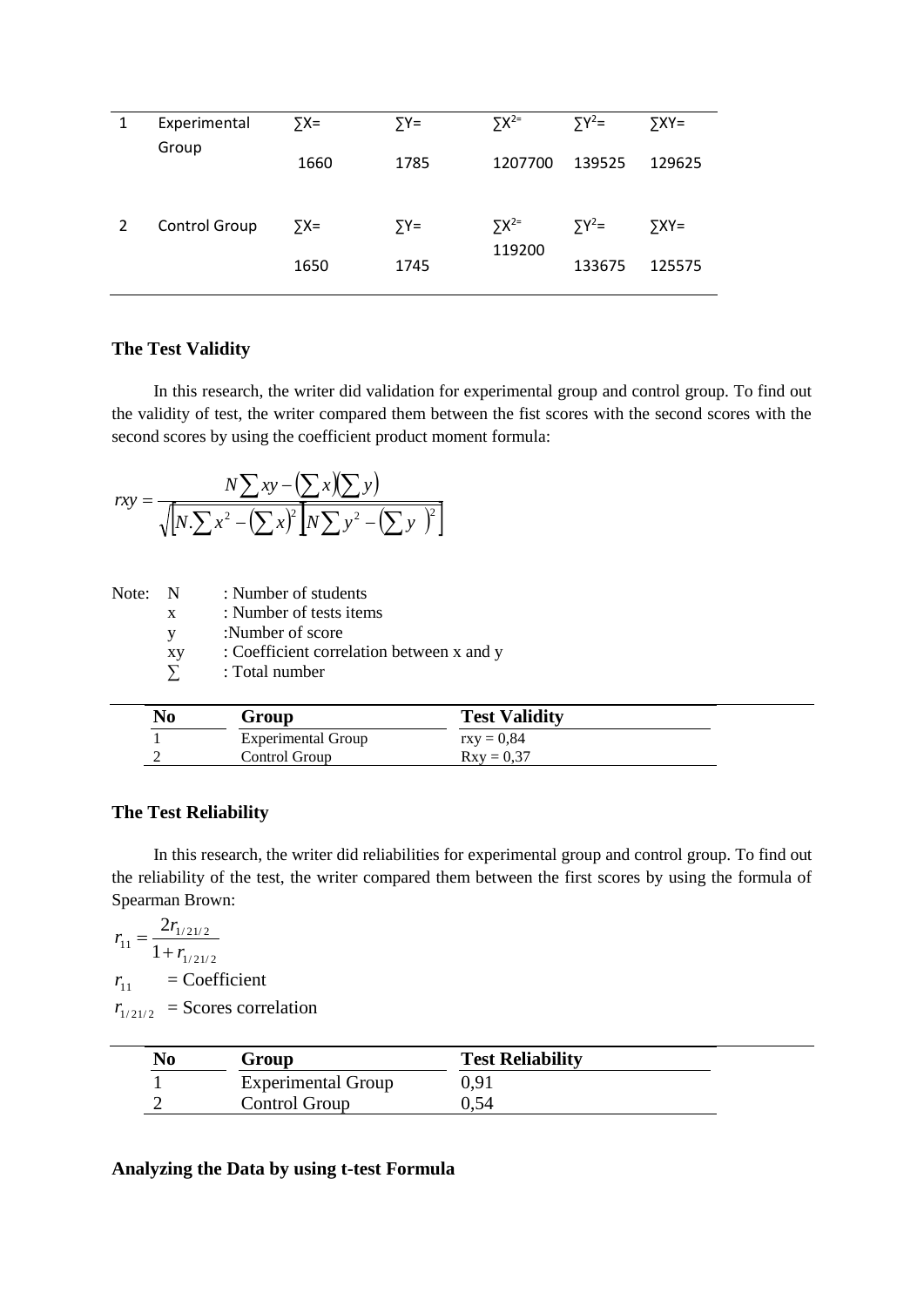| $5X^{2}$<br>$\sum Y^2$ =<br>$5XY=$  |
|-------------------------------------|
|                                     |
| 139525<br>1207700<br>129625         |
| $5X^{2=}$<br>$\sum Y^2$ =<br>$YXY=$ |
| 119200<br>133675<br>125575          |
|                                     |

# **The Test Validity**

In this research, the writer did validation for experimental group and control group. To find out the validity of test, the writer compared them between the fist scores with the second scores with the second scores by using the coefficient product moment formula:

$$
rxy = \frac{N\sum xy - (\sum x)(\sum y)}{\sqrt{N\sum x^2 - (\sum x)^2 N\sum y^2 - (\sum y)^2}}
$$

Note: N : Number of students

| x  | : Number of tests items                   |
|----|-------------------------------------------|
| V  | :Number of score                          |
| хy | : Coefficient correlation between x and y |
| Σ  | : Total number                            |

| No | Group              | <b>Test Validity</b> |  |
|----|--------------------|----------------------|--|
|    | Experimental Group | $\text{rxv} = 0.84$  |  |
|    | Control Group      | $Rxv = 0.37$         |  |

# **The Test Reliability**

 $\overline{a}$ 

In this research, the writer did reliabilities for experimental group and control group. To find out the reliability of the test, the writer compared them between the first scores by using the formula of Spearman Brown:

$$
r_{11} = \frac{2r_{1/21/2}}{1 + r_{1/21/2}}
$$
  
\n
$$
r_{11} = \text{Coefficient}
$$
  
\n
$$
r_{1/21/2} = \text{Scores correlation}
$$

| No | Group                     | <b>Test Reliability</b> |  |
|----|---------------------------|-------------------------|--|
|    | <b>Experimental Group</b> | 0,91                    |  |
|    | Control Group             | 0.54                    |  |

# **Analyzing the Data by using t-test Formula**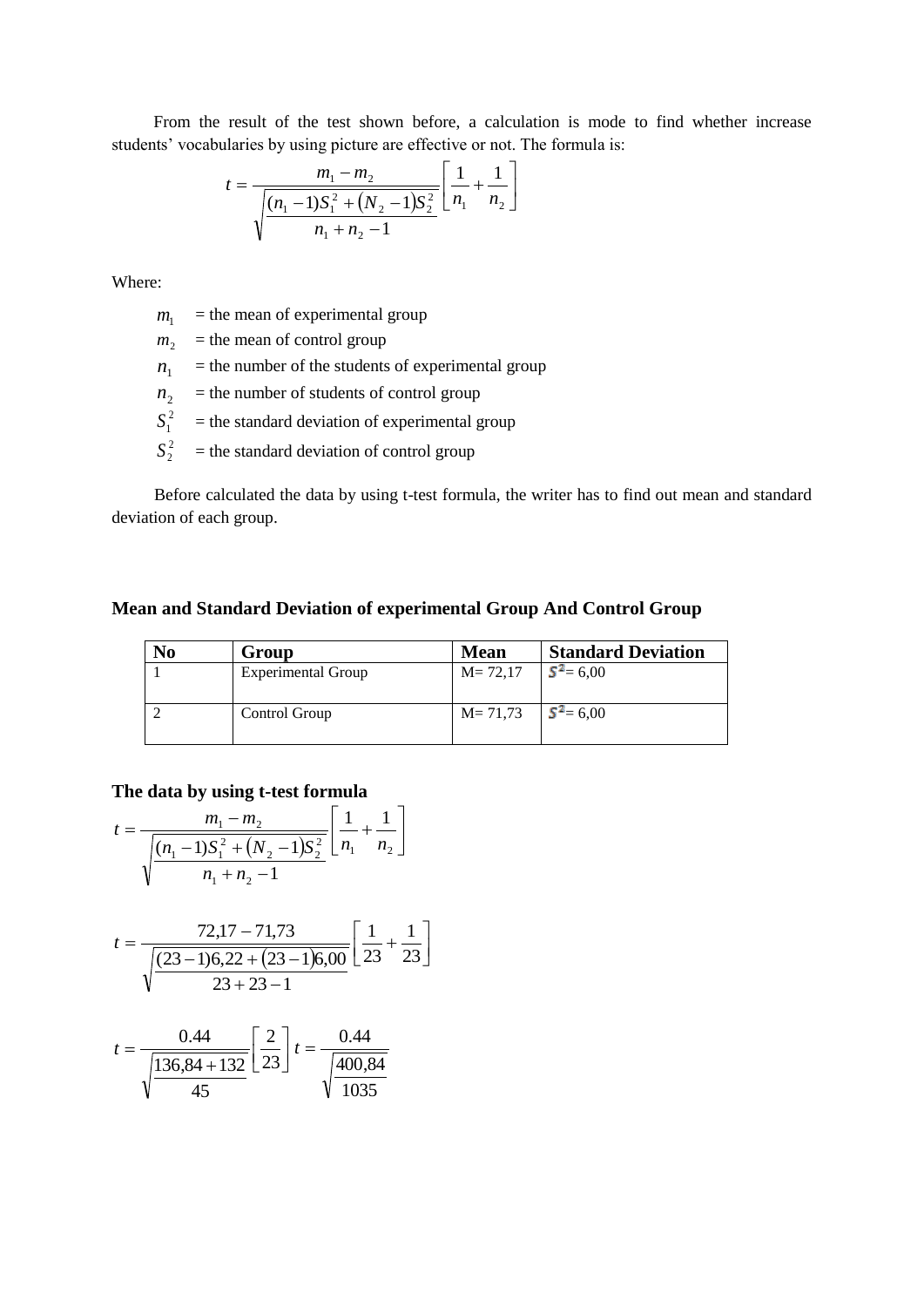From the result of the test shown before, a calculation is mode to find whether increase students' vocabularies by using picture are effective or not. The formula is:

$$
t = \frac{m_1 - m_2}{\sqrt{\frac{(n_1 - 1)S_1^2 + (N_2 - 1)S_2^2}{n_1 + n_2 - 1}}} \left[ \frac{1}{n_1} + \frac{1}{n_2} \right]
$$

Where:

 $m<sub>1</sub>$  $=$  the mean of experimental group

- $m<sub>2</sub>$  = the mean of control group
- $n<sub>1</sub>$  $=$  the number of the students of experimental group
- $n<sub>2</sub>$ = the number of students of control group
- $S_1^2$  $=$  the standard deviation of experimental group
- $S_2^2$  $=$  the standard deviation of control group

Before calculated the data by using t-test formula, the writer has to find out mean and standard deviation of each group.

## **Mean and Standard Deviation of experimental Group And Control Group**

| N <sub>0</sub> | Group                     | <b>Mean</b>              | <b>Standard Deviation</b> |
|----------------|---------------------------|--------------------------|---------------------------|
|                | <b>Experimental Group</b> | $M = 72.17$              | $S^2 = 6,00$              |
|                | Control Group             | $M = 71,73$ $S^2 = 6,00$ |                           |

# **The data by using t-test formula**

$$
t = \frac{m_1 - m_2}{\sqrt{\frac{(n_1 - 1)S_1^2 + (N_2 - 1)S_2^2}{n_1 + n_2 - 1}}} \left[\frac{1}{n_1} + \frac{1}{n_2}\right]
$$

$$
t = \frac{72,17 - 71,73}{\sqrt{\frac{(23 - 1)6,22 + (23 - 1)6,00}{23 + 23 - 1}}}\left[\frac{1}{23} + \frac{1}{23}\right]
$$

$$
t = \frac{0.44}{\sqrt{\frac{136,84 + 132}{45}}} \left[\frac{2}{23}\right] t = \frac{0.44}{\sqrt{\frac{400,84}{1035}}}
$$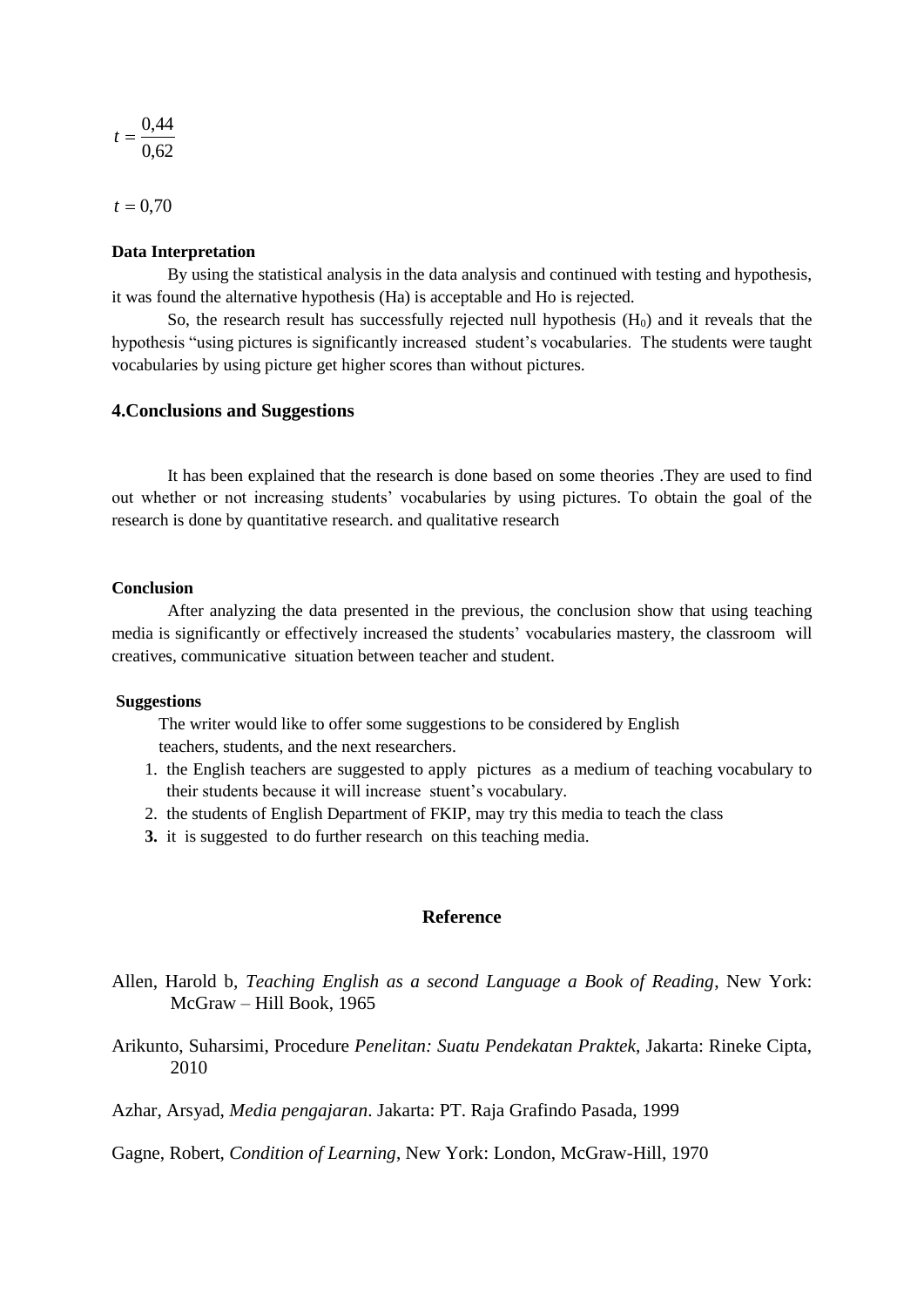$$
t=\frac{0,44}{0,62}
$$

 $t = 0,70$ 

### **Data Interpretation**

By using the statistical analysis in the data analysis and continued with testing and hypothesis, it was found the alternative hypothesis (Ha) is acceptable and Ho is rejected.

So, the research result has successfully rejected null hypothesis  $(H_0)$  and it reveals that the hypothesis "using pictures is significantly increased student's vocabularies. The students were taught vocabularies by using picture get higher scores than without pictures.

### **4.Conclusions and Suggestions**

It has been explained that the research is done based on some theories .They are used to find out whether or not increasing students' vocabularies by using pictures. To obtain the goal of the research is done by quantitative research. and qualitative research

### **Conclusion**

After analyzing the data presented in the previous, the conclusion show that using teaching media is significantly or effectively increased the students' vocabularies mastery, the classroom will creatives, communicative situation between teacher and student.

#### **Suggestions**

 The writer would like to offer some suggestions to be considered by English teachers, students, and the next researchers.

- 1. the English teachers are suggested to apply pictures as a medium of teaching vocabulary to their students because it will increase stuent's vocabulary.
- 2. the students of English Department of FKIP, may try this media to teach the class
- **3.** it is suggested to do further research on this teaching media.

### **Reference**

- Allen, Harold b*, Teaching English as a second Language a Book of Reading*, New York: McGraw – Hill Book, 1965
- Arikunto, Suharsimi, Procedure *Penelitan: Suatu Pendekatan Praktek*, Jakarta: Rineke Cipta, 2010

Azhar, Arsyad, *Media pengajaran*. Jakarta: PT. Raja Grafindo Pasada, 1999

Gagne, Robert, *Condition of Learning*, New York: London, McGraw-Hill, 1970